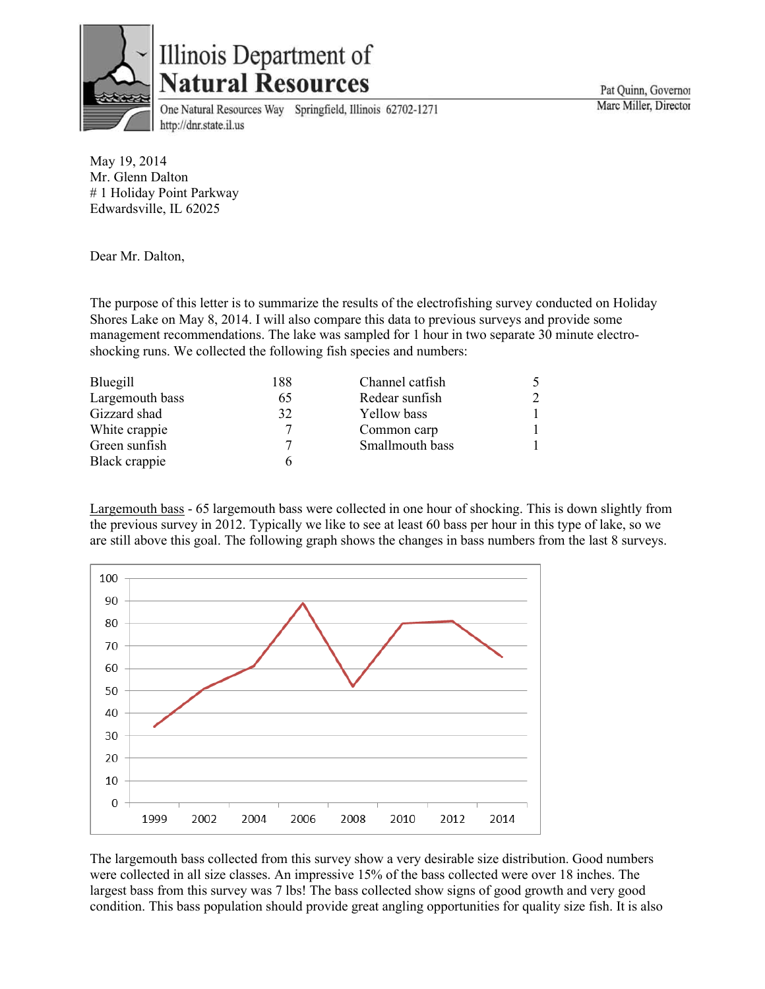

## Illinois Department of **Natural Resources**

One Natural Resources Way Springfield, Illinois 62702-1271 http://dnr.state.il.us

May 19, 2014 Mr. Glenn Dalton # 1 Holiday Point Parkway Edwardsville, IL 62025

Dear Mr. Dalton,

The purpose of this letter is to summarize the results of the electrofishing survey conducted on Holiday Shores Lake on May 8, 2014. I will also compare this data to previous surveys and provide some management recommendations. The lake was sampled for 1 hour in two separate 30 minute electroshocking runs. We collected the following fish species and numbers:

| Bluegill        | 188 | Channel catfish |  |
|-----------------|-----|-----------------|--|
| Largemouth bass | 65  | Redear sunfish  |  |
| Gizzard shad    | 32  | Yellow bass     |  |
| White crappie   |     | Common carp     |  |
| Green sunfish   |     | Smallmouth bass |  |
| Black crappie   |     |                 |  |

Largemouth bass - 65 largemouth bass were collected in one hour of shocking. This is down slightly from the previous survey in 2012. Typically we like to see at least 60 bass per hour in this type of lake, so we are still above this goal. The following graph shows the changes in bass numbers from the last 8 surveys.



The largemouth bass collected from this survey show a very desirable size distribution. Good numbers were collected in all size classes. An impressive 15% of the bass collected were over 18 inches. The largest bass from this survey was 7 lbs! The bass collected show signs of good growth and very good condition. This bass population should provide great angling opportunities for quality size fish. It is also